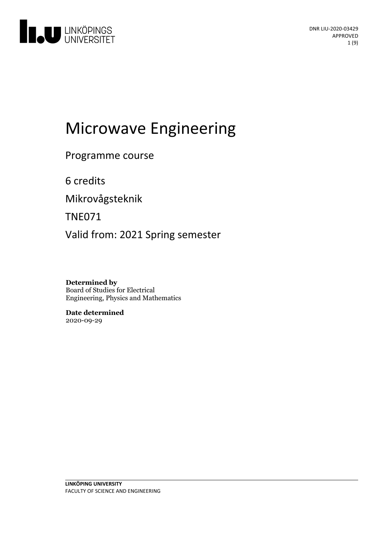

# Microwave Engineering

Programme course

6 credits

Mikrovågsteknik

TNE071

Valid from: 2021 Spring semester

**Determined by** Board of Studies for Electrical Engineering, Physics and Mathematics

**Date determined** 2020-09-29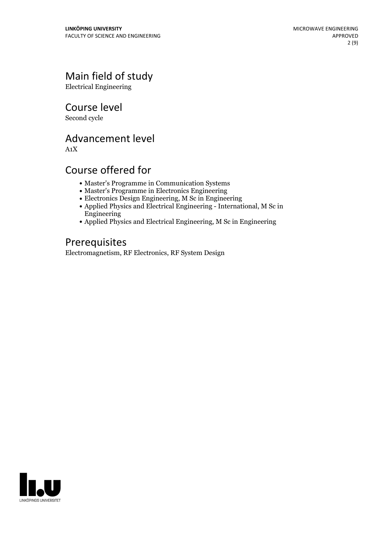# Main field of study

Electrical Engineering

Course level

Second cycle

# Advancement level

A1X

# Course offered for

- Master's Programme in Communication Systems
- Master's Programme in Electronics Engineering
- Electronics Design Engineering, M Sc in Engineering
- Applied Physics and Electrical Engineering International, M Sc in Engineering
- Applied Physics and Electrical Engineering, M Sc in Engineering

# Prerequisites

Electromagnetism, RF Electronics, RF System Design

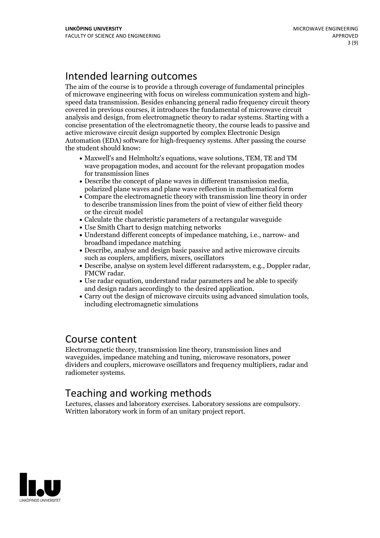# Intended learning outcomes

The aim of the course is to provide a through coverage of fundamental principles of microwave engineering with focus on wireless communication system and high- speed data transmission. Besides enhancing general radio frequency circuit theory covered in previous courses, it introduces the fundamental of microwave circuit analysis and design, from electromagnetic theory to radar systems. Starting with a concise presentation of the electromagnetic theory, the course leads to passive and active microwave circuit design supported by complex Electronic Design Automation (EDA) software for high-frequency systems. After passing the course the student should know:

- Maxwell's and Helmholtz's equations, wave solutions, TEM, TE and TM wave propagation modes, and account for the relevant propagation modes for transmission lines
- Describe the concept of plane waves in different transmission media, polarized plane waves and plane wave reflection in mathematical form
- Compare the electromagnetic theory with transmission line theory in order to describe transmission lines from the point of view of either field theory or the circuit model
- Calculate the characteristic parameters of a rectangular waveguide
- Use Smith Chart to design matching networks
- Understand different concepts of impedance matching, i.e., narrow- and broadband impedance matching
- Describe, analyse and design basic passive and active microwave circuits such as couplers, amplifiers, mixers, oscillators
- Describe, analyse on system level different radarsystem, e.g., Doppler radar, FMCW radar. Use radar equation, understand radar parameters and be able to specify
- 
- and design radars accordingly to the desired application.<br>• Carry out the design of microwave circuits using advanced simulation tools, including electromagnetic simulations

# Course content

Electromagnetic theory, transmission line theory, transmission lines and waveguides, impedance matching and tuning, microwave resonators, power dividers and couplers, microwave oscillators and frequency multipliers, radar and radiometer systems.

# Teaching and working methods

Lectures, classes and laboratory exercises. Laboratory sessions are compulsory. Written laboratory work in form of an unitary project report.

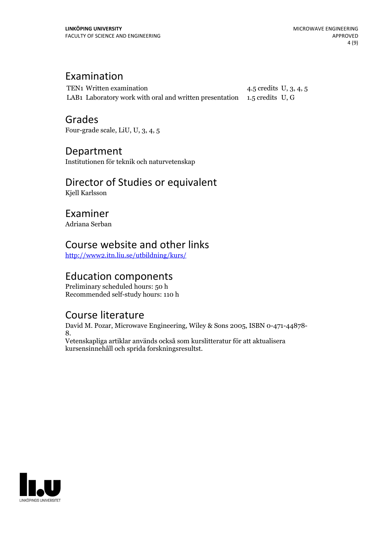# Examination

TEN1 Written examination 4.5 credits U, 3, 4, 5 LAB1 Laboratory work with oral and written presentation 1.5 credits U, G

Grades Four-grade scale, LiU, U, 3, 4, 5

Department

Institutionen för teknik och naturvetenskap

# Director of Studies or equivalent

Kjell Karlsson

Examiner Adriana Serban

# Course website and other links

<http://www2.itn.liu.se/utbildning/kurs/>

# Education components

Preliminary scheduled hours: 50 h Recommended self-study hours: 110 h

# Course literature

David M. Pozar, Microwave Engineering, Wiley & Sons 2005, ISBN 0-471-44878- 8. Vetenskapliga artiklar används också som kurslitteratur för att aktualisera

kursensinnehåll och sprida forskningsresultst.

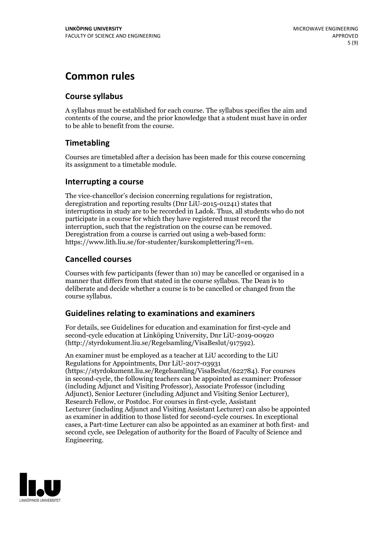# **Common rules**

### **Course syllabus**

A syllabus must be established for each course. The syllabus specifies the aim and contents of the course, and the prior knowledge that a student must have in order to be able to benefit from the course.

### **Timetabling**

Courses are timetabled after a decision has been made for this course concerning its assignment to a timetable module.

### **Interrupting a course**

The vice-chancellor's decision concerning regulations for registration, deregistration and reporting results (Dnr LiU-2015-01241) states that interruptions in study are to be recorded in Ladok. Thus, all students who do not participate in a course for which they have registered must record the interruption, such that the registration on the course can be removed. Deregistration from <sup>a</sup> course is carried outusing <sup>a</sup> web-based form: https://www.lith.liu.se/for-studenter/kurskomplettering?l=en.

### **Cancelled courses**

Courses with few participants (fewer than 10) may be cancelled or organised in a manner that differs from that stated in the course syllabus. The Dean is to deliberate and decide whether a course is to be cancelled or changed from the course syllabus.

### **Guidelines relatingto examinations and examiners**

For details, see Guidelines for education and examination for first-cycle and second-cycle education at Linköping University, Dnr LiU-2019-00920 (http://styrdokument.liu.se/Regelsamling/VisaBeslut/917592).

An examiner must be employed as a teacher at LiU according to the LiU Regulations for Appointments, Dnr LiU-2017-03931 (https://styrdokument.liu.se/Regelsamling/VisaBeslut/622784). For courses in second-cycle, the following teachers can be appointed as examiner: Professor (including Adjunct and Visiting Professor), Associate Professor (including Adjunct), Senior Lecturer (including Adjunct and Visiting Senior Lecturer), Research Fellow, or Postdoc. For courses in first-cycle, Assistant Lecturer (including Adjunct and Visiting Assistant Lecturer) can also be appointed as examiner in addition to those listed for second-cycle courses. In exceptional cases, a Part-time Lecturer can also be appointed as an examiner at both first- and second cycle, see Delegation of authority for the Board of Faculty of Science and Engineering.

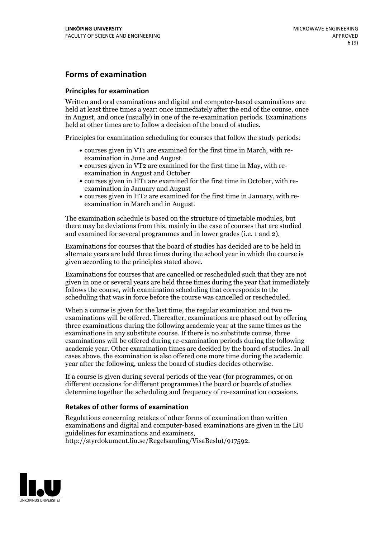### **Forms of examination**

#### **Principles for examination**

Written and oral examinations and digital and computer-based examinations are held at least three times a year: once immediately after the end of the course, once in August, and once (usually) in one of the re-examination periods. Examinations held at other times are to follow a decision of the board of studies.

Principles for examination scheduling for courses that follow the study periods:

- courses given in VT1 are examined for the first time in March, with re-examination in June and August
- courses given in VT2 are examined for the first time in May, with re-examination in August and October
- courses given in HT1 are examined for the first time in October, with re-examination in January and August
- courses given in HT2 are examined for the first time in January, with re-examination in March and in August.

The examination schedule is based on the structure of timetable modules, but there may be deviations from this, mainly in the case of courses that are studied and examined for several programmes and in lower grades (i.e. 1 and 2).

Examinations for courses that the board of studies has decided are to be held in alternate years are held three times during the school year in which the course is given according to the principles stated above.

Examinations for courses that are cancelled orrescheduled such that they are not given in one or several years are held three times during the year that immediately follows the course, with examination scheduling that corresponds to the scheduling that was in force before the course was cancelled or rescheduled.

When a course is given for the last time, the regular examination and two re-<br>examinations will be offered. Thereafter, examinations are phased out by offering three examinations during the following academic year at the same times as the examinations in any substitute course. If there is no substitute course, three examinations will be offered during re-examination periods during the following academic year. Other examination times are decided by the board of studies. In all cases above, the examination is also offered one more time during the academic year after the following, unless the board of studies decides otherwise.

If a course is given during several periods of the year (for programmes, or on different occasions for different programmes) the board or boards of studies determine together the scheduling and frequency of re-examination occasions.

### **Retakes of other forms of examination**

Regulations concerning retakes of other forms of examination than written examinations and digital and computer-based examinations are given in the LiU guidelines for examinations and examiners, http://styrdokument.liu.se/Regelsamling/VisaBeslut/917592.

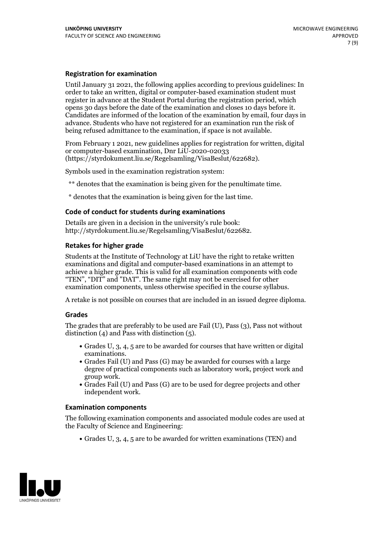### **Registration for examination**

Until January 31 2021, the following applies according to previous guidelines: In order to take an written, digital or computer-based examination student must register in advance at the Student Portal during the registration period, which Candidates are informed of the location of the examination by email, four days in advance. Students who have not registered for an examination run the risk of being refused admittance to the examination, if space is not available.

From February 1 2021, new guidelines applies for registration for written, digital or computer-based examination, Dnr LiU-2020-02033 (https://styrdokument.liu.se/Regelsamling/VisaBeslut/622682).

Symbols used in the examination registration system:

\*\* denotes that the examination is being given for the penultimate time.

\* denotes that the examination is being given for the last time.

#### **Code of conduct for students during examinations**

Details are given in a decision in the university's rule book: http://styrdokument.liu.se/Regelsamling/VisaBeslut/622682.

### **Retakes for higher grade**

Students at the Institute of Technology at LiU have the right to retake written examinations and digital and computer-based examinations in an attempt to achieve a higher grade. This is valid for all examination components with code "TEN", "DIT" and "DAT". The same right may not be exercised for other examination components, unless otherwise specified in the course syllabus.

A retake is not possible on courses that are included in an issued degree diploma.

#### **Grades**

The grades that are preferably to be used are Fail (U), Pass (3), Pass not without distinction  $(4)$  and Pass with distinction  $(5)$ .

- Grades U, 3, 4, 5 are to be awarded for courses that have written or digital examinations.<br>• Grades Fail (U) and Pass (G) may be awarded for courses with a large
- degree of practical components such as laboratory work, project work and
- $\bullet$  Grades Fail (U) and Pass (G) are to be used for degree projects and other independent work.

#### **Examination components**

The following examination components and associated module codes are used at the Faculty of Science and Engineering:

Grades U, 3, 4, 5 are to be awarded for written examinations (TEN) and

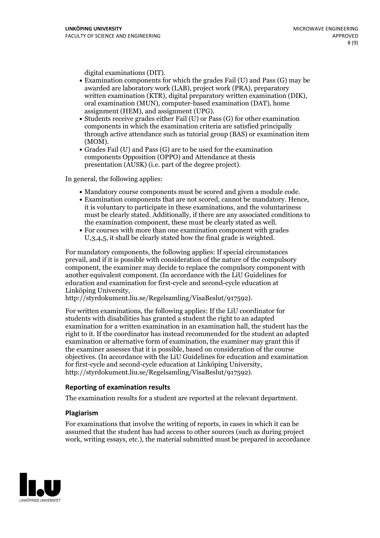- digital examinations (DIT).<br>• Examination components for which the grades Fail (U) and Pass (G) may be awarded are laboratory work (LAB), project work (PRA), preparatory written examination (KTR), digital preparatory written examination (DIK), oral examination (MUN), computer-based examination (DAT), home
- assignment (HEM), and assignment (UPG).<br>• Students receive grades either Fail (U) or Pass (G) for other examination components in which the examination criteria are satisfied principally through active attendance such as tutorial group (BAS) or examination item
- (MOM).<br>• Grades Fail (U) and Pass (G) are to be used for the examination components Opposition (OPPO) and Attendance at thesis presentation (AUSK) (i.e. part of the degree project).

In general, the following applies:

- 
- Mandatory course components must be scored and given <sup>a</sup> module code. Examination components that are not scored, cannot be mandatory. Hence, it is voluntary to participate in these examinations, and the voluntariness must be clearly stated. Additionally, if there are any associated conditions to the examination component, these must be clearly stated as well.<br>• For courses with more than one examination component with grades
- U,3,4,5, it shall be clearly stated how the final grade is weighted.

For mandatory components, the following applies: If special circumstances prevail, and if it is possible with consideration of the nature ofthe compulsory component, the examiner may decide to replace the compulsory component with another equivalent component. (In accordance with the LiU Guidelines for education and examination for first-cycle and second-cycle education at Linköping University, http://styrdokument.liu.se/Regelsamling/VisaBeslut/917592).

For written examinations, the following applies: If the LiU coordinator for students with disabilities has granted a student the right to an adapted examination for a written examination in an examination hall, the student has the right to it. If the coordinator has instead recommended for the student an adapted examination or alternative form of examination, the examiner may grant this if the examiner assesses that it is possible, based on consideration of the course objectives. (In accordance with the LiU Guidelines for education and examination for first-cycle and second-cycle education at Linköping University, http://styrdokument.liu.se/Regelsamling/VisaBeslut/917592).

#### **Reporting of examination results**

The examination results for a student are reported at the relevant department.

#### **Plagiarism**

For examinations that involve the writing of reports, in cases in which it can be assumed that the student has had access to other sources (such as during project work, writing essays, etc.), the material submitted must be prepared in accordance